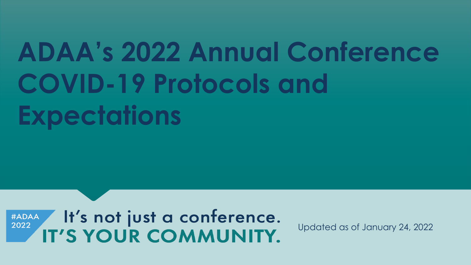# **ADAA's 2022 Annual Conference COVID-19 Protocols and Expectations**

It's not just a conference. **#ADAA** 2022 IT'S YOUR COMMUNITY.

Updated as of January 24, 2022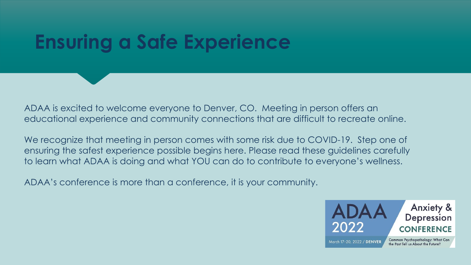# **Ensuring a Safe Experience**

ADAA is excited to welcome everyone to Denver, CO. Meeting in person offers an educational experience and community connections that are difficult to recreate online.

We recognize that meeting in person comes with some risk due to COVID-19. Step one of ensuring the safest experience possible begins here. Please read these guidelines carefully to learn what ADAA is doing and what YOU can do to contribute to everyone's wellness.

ADAA's conference is more than a conference, it is your community.

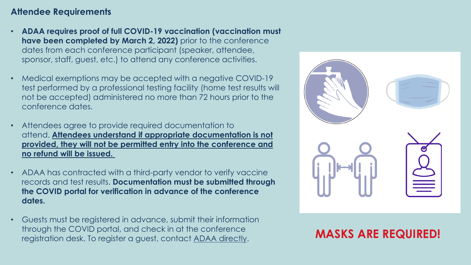### **Attendee Requirements**

- **ADAA requires proof of full COVID-19 vaccination (vaccination must have been completed by March 2, 2022)** prior to the conference dates from each conference participant (speaker, attendee, sponsor, staff, guest, etc.) to attend any conference activities.
- Medical exemptions may be accepted with a negative COVID-19 test performed by a professional testing facility (home test results will not be accepted) administered no more than 72 hours prior to the conference dates.
- Attendees agree to provide required documentation to attend. **Attendees understand if appropriate documentation is not provided, they will not be permitted entry into the conference and no refund will be issued.**
- ADAA has contracted with a third-party vendor to verify vaccine records and test results. **Documentation must be submitted through the COVID portal for verification in advance of the conference dates.**
- Guests must be registered in advance, submit their information through the COVID portal, and check in at the conference registration desk. To register a guest, contact [ADAA directly](mailto:conference@adaa.org). **MASKS ARE REQUIRED!**

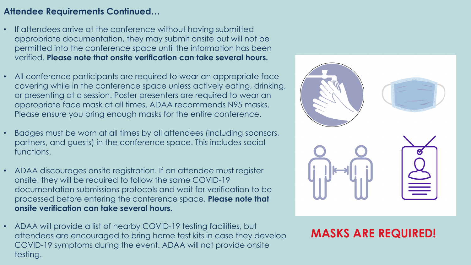### **Attendee Requirements Continued…**

- If attendees arrive at the conference without having submitted appropriate documentation, they may submit onsite but will not be permitted into the conference space until the information has been verified. **Please note that onsite verification can take several hours.**
- All conference participants are required to wear an appropriate face covering while in the conference space unless actively eating, drinking, or presenting at a session. Poster presenters are required to wear an appropriate face mask at all times. ADAA recommends N95 masks. Please ensure you bring enough masks for the entire conference.
- Badges must be worn at all times by all attendees (including sponsors, partners, and guests) in the conference space. This includes social functions.
- ADAA discourages onsite registration. If an attendee must register onsite, they will be required to follow the same COVID-19 documentation submissions protocols and wait for verification to be processed before entering the conference space. **Please note that onsite verification can take several hours.**
- ADAA will provide a list of nearby COVID-19 testing facilities, but attendees are encouraged to bring home test kits in case they develop COVID-19 symptoms during the event. ADAA will not provide onsite testing.



# **MASKS ARE REQUIRED!**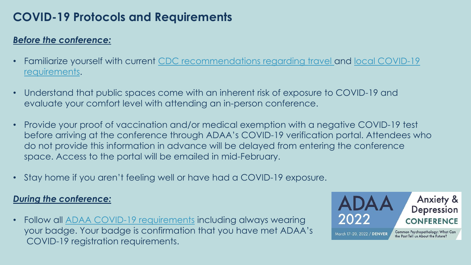# **COVID-19 Protocols and Requirements**

## *Before the conference:*

- [Familiarize yourself with current](https://www.denvergov.org/Government/COVID-19-Information) [CDC recommendations regarding travel](https://www.cdc.gov/coronavirus/2019-ncov/travelers/index.html) [and local COVID-19](https://www.denvergov.org/Government/COVID-19-Information) requirements.
- Understand that public spaces come with an inherent risk of exposure to COVID-19 and evaluate your comfort level with attending an in-person conference.
- Provide your proof of vaccination and/or medical exemption with a negative COVID-19 test before arriving at the conference through ADAA's COVID-19 verification portal. Attendees who do not provide this information in advance will be delayed from entering the conference space. Access to the portal will be emailed in mid-February.
- Stay home if you aren't feeling well or have had a COVID-19 exposure.

# *During the conference:*

• Follow all [ADAA COVID-19 requirements](https://adaa.org/conference/COVID-19-Precautions) including always wearing your badge. Your badge is confirmation that you have met ADAA's COVID-19 registration requirements.

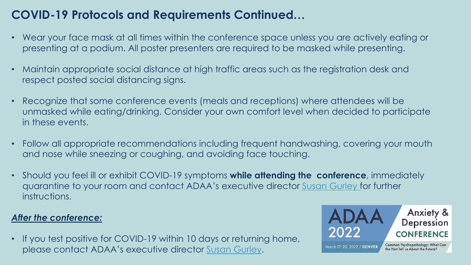# **COVID-19 Protocols and Requirements Continued…**

- Wear your face mask at all times within the conference space unless you are actively eating or presenting at a podium. All poster presenters are required to be masked while presenting.
- Maintain appropriate social distance at high traffic areas such as the registration desk and respect posted social distancing signs.
- Recognize that some conference events (meals and receptions) where attendees will be unmasked while eating/drinking. Consider your own comfort level when decided to participate in these events.
- Follow all appropriate recommendations including frequent handwashing, covering your mouth and nose while sneezing or coughing, and avoiding face touching.
- Should you feel ill or exhibit COVID-19 symptoms **while attending the conference**, immediately quarantine to your room and contact ADAA's executive director [Susan Gurley](mailto:sgurley@adaa.org) for further instructions.

# *After the conference:*

• If you test positive for COVID-19 within 10 days or returning home, please contact ADAA's executive director [Susan Gurley](mailto:sgurley@adaa.org).

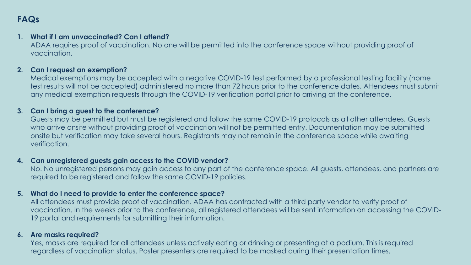# **FAQs**

#### **1. What if I am unvaccinated? Can I attend?**

ADAA requires proof of vaccination. No one will be permitted into the conference space without providing proof of vaccination.

#### **2. Can I request an exemption?**

Medical exemptions may be accepted with a negative COVID-19 test performed by a professional testing facility (home test results will not be accepted) administered no more than 72 hours prior to the conference dates. Attendees must submit any medical exemption requests through the COVID-19 verification portal prior to arriving at the conference.

#### **3. Can I bring a guest to the conference?**

Guests may be permitted but must be registered and follow the same COVID-19 protocols as all other attendees. Guests who arrive onsite without providing proof of vaccination will not be permitted entry. Documentation may be submitted onsite but verification may take several hours. Registrants may not remain in the conference space while awaiting verification.

#### **4. Can unregistered guests gain access to the COVID vendor?**

No. No unregistered persons may gain access to any part of the conference space. All guests, attendees, and partners are required to be registered and follow the same COVID-19 policies.

#### **5. What do I need to provide to enter the conference space?**

All attendees must provide proof of vaccination. ADAA has contracted with a third party vendor to verify proof of vaccination. In the weeks prior to the conference, all registered attendees will be sent information on accessing the COVID-19 portal and requirements for submitting their information.

#### **6. Are masks required?**

Yes, masks are required for all attendees unless actively eating or drinking or presenting at a podium. This is required regardless of vaccination status. Poster presenters are required to be masked during their presentation times.